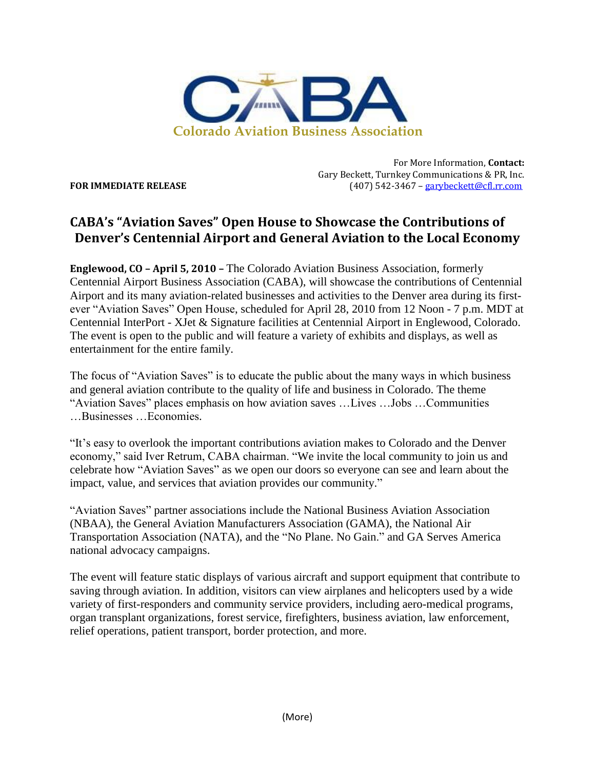

For More Information, **Contact:** Gary Beckett, Turnkey Communications & PR, Inc. **FOR IMMEDIATE RELEASE** (407) 542-3467 – [garybeckett@cfl.rr.com](mailto:garybeckett@cfl.rr.com)

## **CABA's "Aviation Saves" Open House to Showcase the Contributions of Denver's Centennial Airport and General Aviation to the Local Economy**

**Englewood, CO – April 5, 2010 –** The Colorado Aviation Business Association, formerly Centennial Airport Business Association (CABA), will showcase the contributions of Centennial Airport and its many aviation-related businesses and activities to the Denver area during its firstever "Aviation Saves" Open House, scheduled for April 28, 2010 from 12 Noon - 7 p.m. MDT at Centennial InterPort - XJet & Signature facilities at Centennial Airport in Englewood, Colorado. The event is open to the public and will feature a variety of exhibits and displays, as well as entertainment for the entire family.

The focus of "Aviation Saves" is to educate the public about the many ways in which business and general aviation contribute to the quality of life and business in Colorado. The theme "Aviation Saves" places emphasis on how aviation saves …Lives …Jobs …Communities …Businesses …Economies.

"It's easy to overlook the important contributions aviation makes to Colorado and the Denver economy," said Iver Retrum, CABA chairman. "We invite the local community to join us and celebrate how "Aviation Saves" as we open our doors so everyone can see and learn about the impact, value, and services that aviation provides our community."

"Aviation Saves" partner associations include the National Business Aviation Association (NBAA), the General Aviation Manufacturers Association (GAMA), the National Air Transportation Association (NATA), and the "No Plane. No Gain." and GA Serves America national advocacy campaigns.

The event will feature static displays of various aircraft and support equipment that contribute to saving through aviation. In addition, visitors can view airplanes and helicopters used by a wide variety of first-responders and community service providers, including aero-medical programs, organ transplant organizations, forest service, firefighters, business aviation, law enforcement, relief operations, patient transport, border protection, and more.